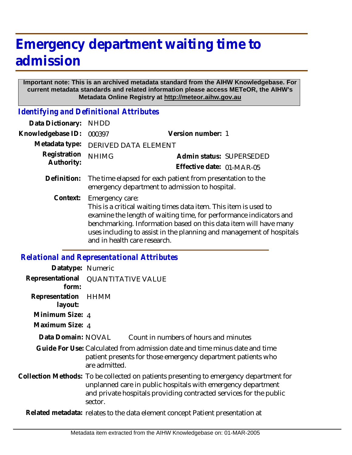## **Emergency department waiting time to admission**

## **Important note: This is an archived metadata standard from the AIHW Knowledgebase. For current metadata standards and related information please access METeOR, the AIHW's Metadata Online Registry at http://meteor.aihw.gov.au**

*Identifying and Definitional Attributes*

| Data Dictionary:           | <b>NHDD</b>                                                                                                                                                                                                                                                                                                                           |                           |
|----------------------------|---------------------------------------------------------------------------------------------------------------------------------------------------------------------------------------------------------------------------------------------------------------------------------------------------------------------------------------|---------------------------|
| Knowledgebase ID:          | 000397                                                                                                                                                                                                                                                                                                                                | Version number: 1         |
| Metadata type:             | <b>DERIVED DATA ELEMENT</b>                                                                                                                                                                                                                                                                                                           |                           |
| Registration<br>Authority: | <b>NHIMG</b>                                                                                                                                                                                                                                                                                                                          | Admin status: SUPERSEDED  |
|                            |                                                                                                                                                                                                                                                                                                                                       | Effective date: 01-MAR-05 |
| Definition:                | The time elapsed for each patient from presentation to the<br>emergency department to admission to hospital.                                                                                                                                                                                                                          |                           |
| Context:                   | Emergency care:<br>This is a critical waiting times data item. This item is used to<br>examine the length of waiting time, for performance indicators and<br>benchmarking. Information based on this data item will have many<br>uses including to assist in the planning and management of hospitals<br>and in health care research. |                           |

## *Relational and Representational Attributes*

| Datatype: Numeric         |                                                                                                                                                                                                                                         |  |
|---------------------------|-----------------------------------------------------------------------------------------------------------------------------------------------------------------------------------------------------------------------------------------|--|
| form:                     | Representational QUANTITATIVE VALUE                                                                                                                                                                                                     |  |
| Representation<br>layout: | HHMM                                                                                                                                                                                                                                    |  |
| Minimum Size: 4           |                                                                                                                                                                                                                                         |  |
| Maximum Size: 4           |                                                                                                                                                                                                                                         |  |
| Data Domain: NOVAL        | Count in numbers of hours and minutes                                                                                                                                                                                                   |  |
|                           | Guide For Use: Calculated from admission date and time minus date and time<br>patient presents for those emergency department patients who<br>are admitted.                                                                             |  |
|                           | Collection Methods: To be collected on patients presenting to emergency department for<br>unplanned care in public hospitals with emergency department<br>and private hospitals providing contracted services for the public<br>sector. |  |
|                           | Related metadata: relates to the data element concept Patient presentation at                                                                                                                                                           |  |